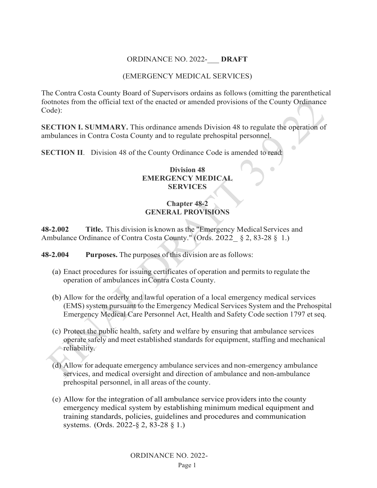# ORDINANCE NO. 2022-\_\_\_ **DRAFT**

# (EMERGENCY MEDICAL SERVICES)

The Contra Costa County Board of Supervisors ordains as follows (omitting the parenthetical footnotes from the official text of the enacted or amended provisions of the County Ordinance· Code):

**SECTION I. SUMMARY.** This ordinance amends Division 48 to regulate the operation of ambulances in Contra Costa County and to regulate prehospital personnel.

**SECTION II**. Division 48 of the County Ordinance Code is amended to read,:

## **Division 48 EMERGENCY MEDICAL SERVICES**

# **Chapter 48-2 GENERAL PROVISIONS**

**48-2.002 Title.** This division is known as the "Emergency MedicalServices and Ambulance Ordinance of Contra Costa County." (Ords. 2022 § 2, 83-28 § 1.)

**48-2.004 Purposes.** The purposes of this division are asfollows:

- (a) Enact procedures for issuing certificates of operation and permits to regulate the operation of ambulances inContra Costa County.
- (b) Allow for the orderly and lawful operation of a local emergency medical services (EMS) system pursuant to the Emergency Medical Services System and the Prehospital Emergency Medical Care Personnel Act, Health and Safety Code section 1797 et seq.
- (c) Protect the public health, safety and welfare by ensuring that ambulance services operate safely and meet established standards for equipment, staffing and mechanical reliability.
- (d) Allow for adequate emergency ambulance services and non-emergency ambulance services, and medical oversight and direction of ambulance and non-ambulance prehospital personnel, in all areas of the county.
- (e) Allow for the integration of all ambulance service providers into the county emergency medical system by establishing minimum medical equipment and training standards, policies, guidelines and procedures and communication systems. (Ords. 2022-§ 2, 83-28 § 1.)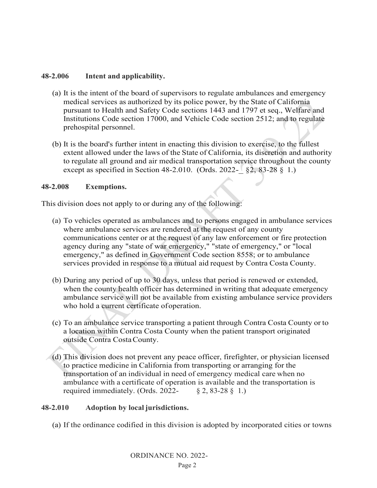## **48-2.006 Intent and applicability.**

- (a) It is the intent of the board of supervisors to regulate ambulances and emergency medical services as authorized by its police power, by the State of California pursuant to Health and Safety Code sections 1443 and 1797 et seq., Welfare and Institutions Code section 17000, and Vehicle Code section 2512; and to regulate prehospital personnel.
- (b) It is the board's further intent in enacting this division to exercise, to the fullest extent allowed under the laws of the State of California, its discretion and authority to regulate all ground and air medical transportation service throughout the county except as specified in Section 48-2.010. (Ords. 2022- $\frac{82}{82}$ , 83-28 § 1.)

## **48-2.008 Exemptions.**

This division does not apply to or during any of the following:

- (a) To vehicles operated as ambulances and to persons engaged in ambulance services where ambulance services are rendered at the request of any county communications center or at the request of any law enforcement or fire protection agency during any "state of war emergency," "state of emergency," or "local emergency," as defined in Government Code section 8558; or to ambulance services provided in response to a mutual aid request by Contra Costa County.
- (b) During any period of up to 30 days, unless that period is renewed or extended, when the county health officer has determined in writing that adequate emergency ambulance service will not be available from existing ambulance service providers who hold a current certificate ofoperation.
- (c) To an ambulance service transporting a patient through Contra Costa County or to a location within Contra Costa County when the patient transport originated outside Contra CostaCounty.
- (d) This division does not prevent any peace officer, firefighter, or physician licensed to practice medicine in California from transporting or arranging for the transportation of an individual in need of emergency medical care when no ambulance with a certificate of operation is available and the transportation is required immediately. (Ords. 2022-  $\&$  2, 83-28  $\&$  1.)

## **48-2.010 Adoption by local jurisdictions.**

(a) If the ordinance codified in this division is adopted by incorporated cities or towns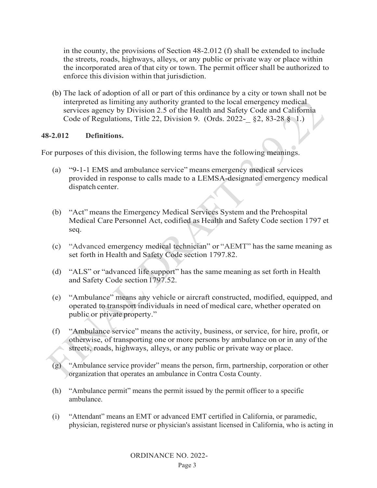in the county, the provisions of Section 48-2.012 (f) shall be extended to include the streets, roads, highways, alleys, or any public or private way or place within the incorporated area of that city or town. The permit officer shall be authorized to enforce this division within that jurisdiction.

(b) The lack of adoption of all or part of this ordinance by a city or town shall not be interpreted as limiting any authority granted to the local emergency medical services agency by Division 2.5 of the Health and Safety Code and California Code of Regulations, Title 22, Division 9. (Ords. 2022-\_ §2, 83-28 § 1.)

#### **48-2.012 Definitions.**

For purposes of this division, the following terms have the following meanings.

- (a) "9-1-1 EMS and ambulance service" means emergency medical services provided in response to calls made to a LEMSA-designated emergency medical dispatch center.
- (b) "Act" means the Emergency Medical Services System and the Prehospital Medical Care Personnel Act, codified as Health and Safety Code section 1797 et seq.
- (c) "Advanced emergency medical technician" or "AEMT" has the same meaning as set forth in Health and Safety Code section 1797.82.
- (d) "ALS" or "advanced life support" has the same meaning as set forth in Health and Safety Code section 1797.52.
- (e) "Ambulance" means any vehicle or aircraft constructed, modified, equipped, and operated to transport individuals in need of medical care, whether operated on public or private property."
- (f) "Ambulance service" means the activity, business, or service, for hire, profit, or otherwise, of transporting one or more persons by ambulance on or in any of the streets, roads, highways, alleys, or any public or private way or place.
- (g) "Ambulance service provider" means the person, firm, partnership, corporation or other organization that operates an ambulance in Contra Costa County.
- (h) "Ambulance permit" means the permit issued by the permit officer to a specific ambulance.
- (i) "Attendant" means an EMT or advanced EMT certified in California, or paramedic, physician, registered nurse or physician's assistant licensed in California, who is acting in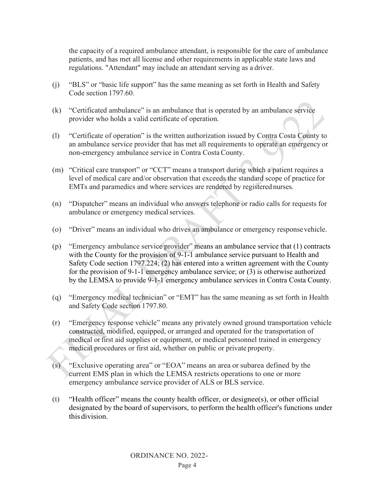the capacity of a required ambulance attendant, is responsible for the care of ambulance patients, and has met all license and other requirements in applicable state laws and regulations. "Attendant" may include an attendant serving as a driver.

- (j) "BLS" or "basic life support" has the same meaning as set forth in Health and Safety Code section 1797.60.
- (k) "Certificated ambulance" is an ambulance that is operated by an ambulance service provider who holds a valid certificate of operation.
- (l) "Certificate of operation" is the written authorization issued by Contra Costa County to an ambulance service provider that has met all requirements to operate an emergency or non-emergency ambulance service in Contra CostaCounty.
- (m) "Critical care transport" or "CCT" means a transport during which a patient requires a level of medical care and/or observation that exceeds the standard scope of practice for EMTs and paramedics and where services are rendered by registered nurses.
- (n) "Dispatcher" means an individual who answers telephone or radio calls for requests for ambulance or emergency medical services.
- (o) "Driver" means an individual who drives an ambulance or emergency responsevehicle.
- (p) "Emergency ambulance service provider" means an ambulance service that (1) contracts with the County for the provision of 9-1-1 ambulance service pursuant to Health and Safety Code section 1797.224; (2) has entered into a written agreement with the County for the provision of 9-1-1 emergency ambulance service; or (3) is otherwise authorized by the LEMSA to provide 9-1-1 emergency ambulance services in Contra Costa County.
- (q) "Emergency medical technician" or "EMT" has the same meaning as set forth in Health and Safety Code section 1797.80.
- (r) "Emergency response vehicle" means any privately owned ground transportation vehicle constructed, modified, equipped, or arranged and operated for the transportation of medical orfirst aid supplies or equipment, or medical personnel trained in emergency medical procedures or first aid, whether on public or private property.
- (s) "Exclusive operating area" or "EOA" means an area or subarea defined by the current EMS plan in which the LEMSA restricts operations to one or more emergency ambulance service provider of ALS or BLS service.
- (t) "Health officer" means the county health officer, or designee(s), or other official designated by the board of supervisors, to perform the health officer's functions under this division.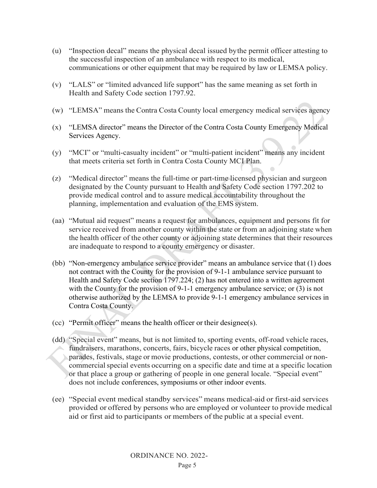- (u) "Inspection decal" means the physical decal issued bythe permit officer attesting to the successful inspection of an ambulance with respect to its medical, communications or other equipment that may be required by law or LEMSA policy.
- (v) "LALS" or "limited advanced life support" has the same meaning as set forth in Health and Safety Code section 1797.92.
- (w) "LEMSA" means the Contra Costa County local emergency medical services agency
- (x) "LEMSA director" means the Director of the Contra Costa County Emergency Medical Services Agency.
- (y) "MCI" or "multi-casualty incident" or "multi-patient incident" means any incident that meets criteria set forth in Contra Costa County MCI Plan.
- (z) "Medical director" means the full-time or part-time licensed physician and surgeon designated by the County pursuant to Health and Safety Code section 1797.202 to provide medical control and to assure medical accountability throughout the planning, implementation and evaluation of the EMS system.
- (aa) "Mutual aid request" means a request for ambulances, equipment and persons fit for service received from another county within the state or from an adjoining state when the health officer of the other county or adjoining state determines that their resources are inadequate to respond to a county emergency or disaster.
- (bb) "Non-emergency ambulance service provider" means an ambulance service that (1) does not contract with the County for the provision of 9-1-1 ambulance service pursuant to Health and Safety Code section 1797.224; (2) has not entered into a written agreement with the County for the provision of 9-1-1 emergency ambulance service; or (3) is not otherwise authorized by the LEMSA to provide 9-1-1 emergency ambulance services in Contra Costa County.
- (cc) "Permit officer" means the health officer or their designee(s).
- (dd) "Special event" means, but is not limited to, sporting events, off-road vehicle races, fundraisers, marathons, concerts, fairs, bicycle races or other physical competition, parades, festivals, stage or movie productions, contests, or other commercial or noncommercial special events occurring on a specific date and time at a specific location or that place a group or gathering of people in one general locale. "Special event" does not include conferences, symposiums or other indoor events.
- (ee) "Special event medical standby services" means medical-aid or first-aid services provided or offered by persons who are employed or volunteer to provide medical aid or first aid to participants or members of the public at a special event.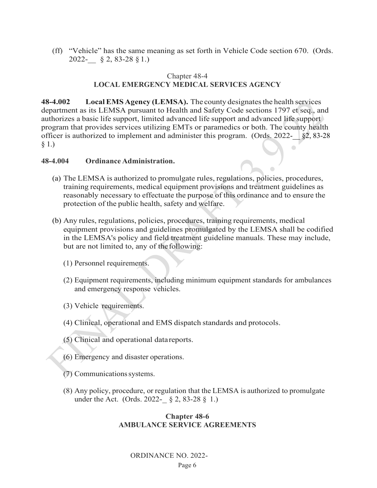(ff) "Vehicle" has the same meaning as set forth in Vehicle Code section 670. (Ords. 2022-\_\_ § 2, 83-28 § 1.)

### Chapter 48-4 **LOCAL EMERGENCY MEDICAL SERVICES AGENCY**

**48-4.002 LocalEMS Agency (LEMSA).** The county designatesthe health services department as its LEMSA pursuant to Health and Safety Code sections 1797 et seq., and authorizes a basic life support, limited advanced life support and advanced life support program that provides services utilizing EMTs or paramedics or both. The county health officer is authorized to implement and administer this program. (Ords.  $2022 - \frac{1}{2}82, 83-28$ § 1.)

#### **48-4.004 Ordinance Administration.**

- (a) The LEMSA is authorized to promulgate rules, regulations, policies, procedures, training requirements, medical equipment provisions and treatment guidelines as reasonably necessary to effectuate the purpose of this ordinance and to ensure the protection of the public health, safety and welfare.
- (b) Any rules, regulations, policies, procedures, training requirements, medical equipment provisions and guidelines promulgated by the LEMSA shall be codified in the LEMSA's policy and field treatment guideline manuals. These may include, but are not limited to, any of thefollowing:
	- (1) Personnel requirements.
	- (2) Equipment requirements, including minimum equipment standards for ambulances and emergency response vehicles.
	- (3) Vehicle requirements.
	- (4) Clinical, operational and EMS dispatch standards and protocols.
	- (5) Clinical and operational datareports.
	- (6) Emergency and disaster operations.
	- (7) Communicationssystems.
	- (8) Any policy, procedure, or regulation that the LEMSA is authorized to promulgate under the Act. (Ords. 2022- $\S$  2, 83-28  $\S$  1.)

#### **Chapter 48-6 AMBULANCE SERVICE AGREEMENTS**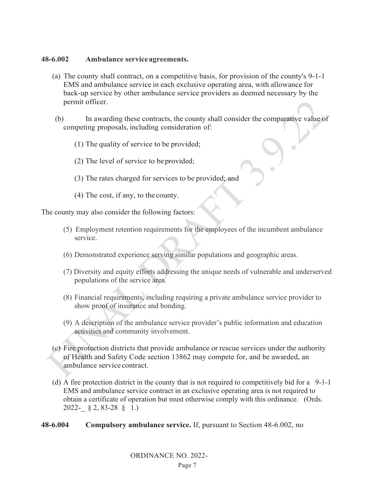### **48-6.002 Ambulance serviceagreements.**

- (a) The county shall contract, on a competitive basis, for provision of the county's 9-1-1 EMS and ambulance service in each exclusive operating area, with allowance for back-up service by other ambulance service providers as deemed necessary by the permit officer.
- (b) In awarding these contracts, the county shall consider the comparative value of competing proposals, including consideration of:
	- (1) The quality of service to be provided;
	- (2) The level of service to beprovided;
	- (3) The rates charged for services to be provided; and
	- (4) The cost, if any, to the county.

The county may also consider the following factors:

- (5) Employment retention requirements for the employees of the incumbent ambulance service.
- (6) Demonstrated experience serving similar populations and geographic areas.
- (7) Diversity and equity efforts addressing the unique needs of vulnerable and underserved populations of the service area.
- (8) Financial requirements, including requiring a private ambulance service provider to show proof of insurance and bonding.
- (9) A description of the ambulance service provider's public information and education activities and community involvement.
- (c) Fire protection districts that provide ambulance or rescue services under the authority of Health and Safety Code section 13862 may compete for, and be awarded, an ambulance service contract.
- (d) A fire protection district in the county that is not required to competitively bid for a 9-1-1 EMS and ambulance service contract in an exclusive operating area is not required to obtain a certificate of operation but must otherwise comply with this ordinance. (Ords. 2022-\_ § 2, 83-28 § 1.)
- **48-6.004 Compulsory ambulance service.** If, pursuant to Section 48-6.002, no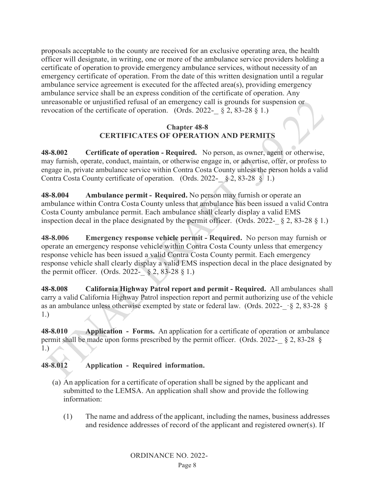proposals acceptable to the county are received for an exclusive operating area, the health officer will designate, in writing, one or more of the ambulance service providers holding a certificate of operation to provide emergency ambulance services, without necessity of an emergency certificate of operation. From the date of this written designation until a regular ambulance service agreement is executed for the affected area(s), providing emergency ambulance service shall be an express condition of the certificate of operation. Any unreasonable or unjustified refusal of an emergency call is grounds for suspension or revocation of the certificate of operation. (Ords. 2022-  $\S$  2, 83-28  $\S$  1.)

## **Chapter 48-8 CERTIFICATES OF OPERATION AND PERMITS**

**48-8.002 Certificate of operation - Required.** No person, as owner, agent or otherwise, may furnish, operate, conduct, maintain, or otherwise engage in, or advertise, offer, or profess to engage in, private ambulance service within Contra Costa County unless the person holds a valid Contra Costa County certificate of operation. (Ords. 2022- § 2, 83-28 § 1.)

**48-8.004 Ambulance permit - Required.** No person may furnish or operate an ambulance within Contra Costa County unless that ambulance has been issued a valid Contra Costa County ambulance permit. Each ambulance shall clearly display a valid EMS inspection decal in the place designated by the permit officer. (Ords. 2022-  $\S$  2, 83-28  $\S$  1.)

**48-8.006 Emergency response vehicle permit - Required.** No person may furnish or operate an emergency response vehicle within Contra Costa County unless that emergency response vehicle has been issued a valid Contra Costa County permit. Each emergency response vehicle shall clearly display a valid EMS inspection decal in the place designated by the permit officer. (Ords. 2022- $\& 8, 2, 83-28 \& 1.$ )

**48-8.008 California Highway Patrol report and permit - Required.** All ambulances shall carry a valid California Highway Patrol inspection report and permit authorizing use of the vehicle as an ambulance unless otherwise exempted by state or federal law. (Ords. 2022- $\cdot$ § 2, 83-28 § 1.)

**48-8.010 Application - Forms.** An application for a certificate of operation or ambulance permit shall be made upon forms prescribed by the permit officer. (Ords. 2022- $\S$  2, 83-28  $\S$ 1.)

## **48-8.012 Application - Required information.**

- (a) An application for a certificate of operation shall be signed by the applicant and submitted to the LEMSA. An application shall show and provide the following information:
	- (1) The name and address of the applicant, including the names, business addresses and residence addresses of record of the applicant and registered owner(s). If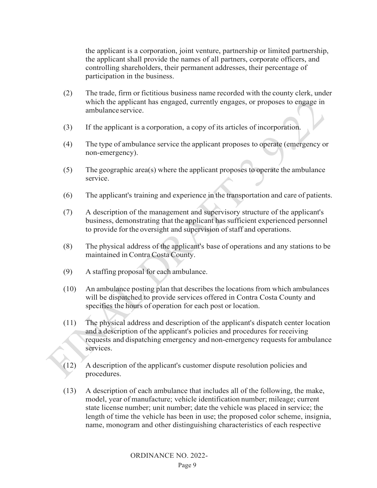the applicant is a corporation, joint venture, partnership or limited partnership, the applicant shall provide the names of all partners, corporate officers, and controlling shareholders, their permanent addresses, their percentage of participation in the business.

- (2) The trade, firm or fictitious business name recorded with the county clerk, under which the applicant has engaged, currently engages, or proposes to engage in ambulanceservice.
- (3) If the applicant is a corporation, a copy of its articles of incorporation.
- (4) The type of ambulance service the applicant proposes to operate (emergency or non-emergency).
- (5) The geographic area(s) where the applicant proposes to operate the ambulance service.
- (6) The applicant's training and experience in the transportation and care of patients.
- (7) A description of the management and supervisory structure of the applicant's business, demonstrating that the applicant has sufficient experienced personnel to provide for the oversight and supervision of staff and operations.
- (8) The physical address of the applicant's base of operations and any stations to be maintained inContra Costa County.
- (9) A staffing proposal for each ambulance.
- (10) An ambulance posting plan that describes the locations from which ambulances will be dispatched to provide services offered in Contra Costa County and specifies the hours of operation for each post or location.
- (11) The physical address and description of the applicant's dispatch center location and a description of the applicant's policies and procedures for receiving requests and dispatching emergency and non-emergency requestsfor ambulance services.
- (12) A description of the applicant's customer dispute resolution policies and procedures.
- (13) A description of each ambulance that includes all of the following, the make, model, year of manufacture; vehicle identification number; mileage; current state license number; unit number; date the vehicle was placed in service; the length of time the vehicle has been in use; the proposed color scheme, insignia, name, monogram and other distinguishing characteristics of each respective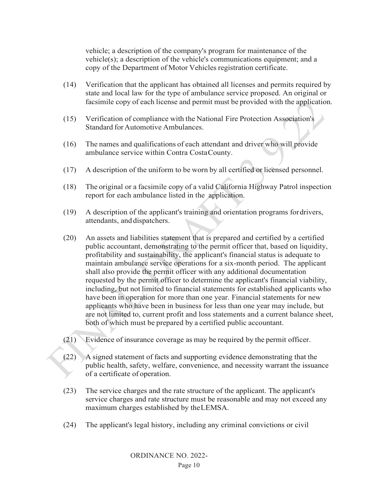vehicle; a description of the company's program for maintenance of the vehicle(s); a description of the vehicle's communications equipment; and a copy of the Department of Motor Vehicles registration certificate.

- (14) Verification that the applicant has obtained all licenses and permits required by state and local law for the type of ambulance service proposed. An original or facsimile copy of each license and permit must be provided with the application.
- (15) Verification of compliance with the National Fire Protection Association's Standard for Automotive Ambulances.
- (16) The names and qualifications of each attendant and driver who will provide ambulance service within Contra CostaCounty.
- (17) A description of the uniform to be worn by all certified or licensed personnel.
- (18) The original or a facsimile copy of a valid California Highway Patrol inspection report for each ambulance listed in the application.
- (19) A description of the applicant's training and orientation programs fordrivers, attendants, and dispatchers.
- (20) An assets and liabilities statement that is prepared and certified by a certified public accountant, demonstrating to the permit officer that, based on liquidity, profitability and sustainability, the applicant's financial status is adequate to maintain ambulance service operations for a six-month period. The applicant shall also provide the permit officer with any additional documentation requested by the permit officer to determine the applicant's financial viability, including, but not limited to financial statements for established applicants who have been in operation for more than one year. Financial statements for new applicants who have been in business for less than one year may include, but are not limited to, current profit and loss statements and a current balance sheet, both of which must be prepared by a certified public accountant.
- (21) Evidence of insurance coverage as may be required by the permit officer.
- (22) A signed statement of facts and supporting evidence demonstrating that the public health, safety, welfare, convenience, and necessity warrant the issuance of a certificate of operation.
- (23) The service charges and the rate structure of the applicant. The applicant's service charges and rate structure must be reasonable and may not exceed any maximum charges established by theLEMSA.
- (24) The applicant's legal history, including any criminal convictions or civil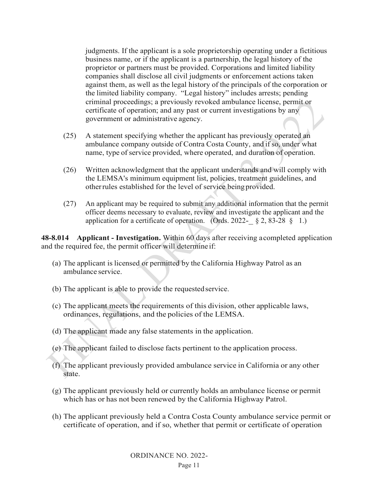judgments. If the applicant is a sole proprietorship operating under a fictitious business name, or if the applicant is a partnership, the legal history of the proprietor or partners must be provided. Corporations and limited liability companies shall disclose all civil judgments or enforcement actions taken against them, as well as the legal history of the principals of the corporation or the limited liability company. "Legal history" includes arrests; pending criminal proceedings; a previously revoked ambulance license, permit or certificate of operation; and any past or current investigations by any government or administrative agency.

- (25) A statement specifying whether the applicant has previously operated an ambulance company outside of Contra Costa County, and if so, under what name, type of service provided, where operated, and duration of operation.
- (26) Written acknowledgment that the applicant understands and will comply with the LEMSA's minimum equipment list, policies, treatment guidelines, and otherrules established for the level of service beingprovided.
- (27) An applicant may be required to submit any additional information that the permit officer deems necessary to evaluate, review and investigate the applicant and the application for a certificate of operation. (Ords. 2022- $\&$  8, 2, 83-28  $\&$  1.)

**48-8.014 Applicant - Investigation.** Within 60 days after receiving acompleted application and the required fee, the permit officer will determine if:

- (a) The applicant is licensed or permitted by the California Highway Patrol as an ambulance service.
- (b) The applicant is able to provide the requested service.
- (c) The applicant meets the requirements of this division, other applicable laws, ordinances, regulations, and the policies of the LEMSA.
- (d) The applicant made any false statements in the application.
- (e) The applicant failed to disclose facts pertinent to the application process.
- (f) The applicant previously provided ambulance service in California or any other state.
- (g) The applicant previously held or currently holds an ambulance license or permit which has or has not been renewed by the California Highway Patrol.
- (h) The applicant previously held a Contra Costa County ambulance service permit or certificate of operation, and if so, whether that permit or certificate of operation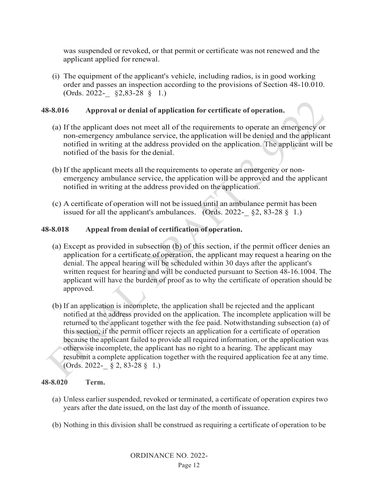was suspended or revoked, or that permit or certificate was not renewed and the applicant applied for renewal.

(i) The equipment of the applicant's vehicle, including radios, is in good working order and passes an inspection according to the provisions of Section 48-10.010. (Ords. 2022-\_ §2,83-28 § 1.)

### **48-8.016 Approval or denial of application for certificate of operation.**

- (a) If the applicant does not meet all of the requirements to operate an emergency or non-emergency ambulance service, the application will be denied and the applicant notified in writing at the address provided on the application. The applicant will be notified of the basis for the denial.
- (b) If the applicant meets all the requirements to operate an emergency or nonemergency ambulance service, the application will be approved and the applicant notified in writing at the address provided on the application.
- (c) A certificate of operation will not be issued until an ambulance permit has been issued for all the applicant's ambulances. (Ords. 2022- $\S$  § 2, 83-28 § 1.)

#### **48-8.018 Appeal from denial of certification of operation.**

- (a) Except as provided in subsection (b) of this section, if the permit officer denies an application for a certificate of operation, the applicant may request a hearing on the denial. The appeal hearing will be scheduled within 30 days after the applicant's written request for hearing and will be conducted pursuant to Section 48-16.1004. The applicant will have the burden of proof as to why the certificate of operation should be approved.
- (b) If an application is incomplete, the application shall be rejected and the applicant notified at the address provided on the application. The incomplete application will be returned to the applicant together with the fee paid. Notwithstanding subsection (a) of this section, if the permit officer rejects an application for a certificate of operation because the applicant failed to provide all required information, or the application was otherwise incomplete, the applicant has no right to a hearing. The applicant may resubmit a complete application together with the required application fee at any time. (Ords. 2022-\_ § 2, 83-28 § 1.)

#### **48-8.020 Term.**

- (a) Unless earlier suspended, revoked or terminated, a certificate of operation expires two years after the date issued, on the last day of the month of issuance.
- (b) Nothing in this division shall be construed as requiring a certificate of operation to be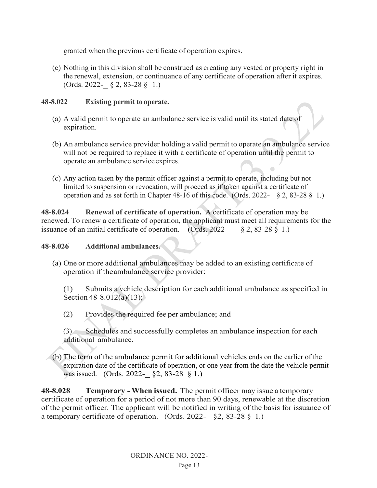granted when the previous certificate of operation expires.

(c) Nothing in this division shall be construed as creating any vested or property right in the renewal, extension, or continuance of any certificate of operation after it expires. (Ords. 2022-\_ § 2, 83-28 § 1.)

# **48-8.022 Existing permit to operate.**

- (a) A valid permit to operate an ambulance service is valid until its stated date of expiration.
- (b) An ambulance service provider holding a valid permit to operate an ambulance service will not be required to replace it with a certificate of operation until the permit to operate an ambulance serviceexpires.
- (c) Any action taken by the permit officer against a permit to operate, including but not limited to suspension or revocation, will proceed as if taken against a certificate of operation and as set forth in Chapter 48-16 of this code. (Ords. 2022- $\S$  2, 83-28  $\S$  1.)

**48-8.024 Renewal of certificate of operation.** A certificate of operation may be renewed. To renew a certificate of operation, the applicant must meet all requirements for the issuance of an initial certificate of operation. (Ords. 2022- $\&$  2, 83-28  $\S$  1.)

## **48-8.026 Additional ambulances.**

(a) One or more additional ambulances may be added to an existing certificate of operation if theambulance service provider:

(1) Submits a vehicle description for each additional ambulance as specified in Section 48-8.012(a)(13);

(2) Provides the required fee per ambulance; and

(3) Schedules and successfully completes an ambulance inspection for each additional ambulance.

(b) The term of the ambulance permit for additional vehicles ends on the earlier of the expiration date of the certificate of operation, or one year from the date the vehicle permit was issued. (Ords. 2022-\_ §2, 83-28 § 1.)

**48-8.028 Temporary - When issued.** The permit officer may issue a temporary certificate of operation for a period of not more than 90 days, renewable at the discretion of the permit officer. The applicant will be notified in writing of the basis for issuance of a temporary certificate of operation. (Ords. 2022- $\S$ 2, 83-28 § 1.)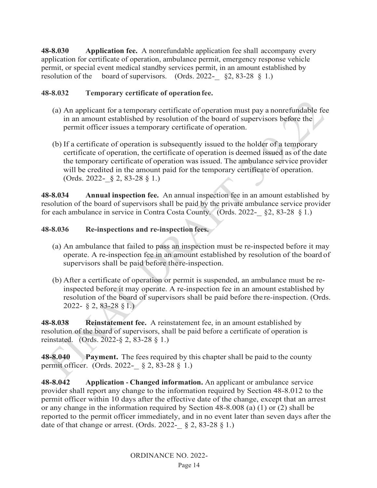**48-8.030 Application fee.** A nonrefundable application fee shall accompany every application for certificate of operation, ambulance permit, emergency response vehicle permit, or special event medical standby services permit, in an amount established by resolution of the board of supervisors. (Ords. 2022- $\S$  \$2, 83-28 § 1.)

## **48-8.032 Temporary certificate of operationfee.**

- (a) An applicant for a temporary certificate of operation must pay a nonrefundable fee in an amount established by resolution of the board of supervisors before the permit officer issues a temporary certificate of operation.
- (b) If a certificate of operation is subsequently issued to the holder of a temporary certificate of operation, the certificate of operation is deemed issued as of the date the temporary certificate of operation was issued. The ambulance service provider will be credited in the amount paid for the temporary certificate of operation. (Ords. 2022- $\S$  2, 83-28  $\S$  1.)

**48-8.034 Annual inspection fee.** An annual inspection fee in an amount established by resolution of the board of supervisors shall be paid by the private ambulance service provider for each ambulance in service in Contra Costa County. (Ords. 2022- $\S 2$ , 83-28  $\S 1$ .)

## **48-8.036 Re-inspections and re-inspection fees.**

- (a) An ambulance that failed to pass an inspection must be re-inspected before it may operate. A re-inspection fee in an amount established by resolution of the board of supervisors shall be paid before there-inspection.
- (b) After a certificate of operation or permit is suspended, an ambulance must be reinspected before it may operate. A re-inspection fee in an amount established by resolution of the board of supervisors shall be paid before the re-inspection. (Ords. 2022- § 2, 83-28 §1.)

**48-8.038 Reinstatement fee.** A reinstatement fee, in an amount established by resolution of the board of supervisors, shall be paid before a certificate of operation is reinstated. (Ords. 2022-§ 2, 83-28 § 1.)

**48-8.040 Payment.** The fees required by this chapter shall be paid to the county permit officer. (Ords. 2022-\_ § 2, 83-28 § 1.)

**48-8.042 Application - Changed information.** An applicant or ambulance service provider shall report any change to the information required by Section 48-8.012 to the permit officer within 10 days after the effective date of the change, except that an arrest or any change in the information required by Section 48-8.008 (a) (1) or (2) shall be reported to the permit officer immediately, and in no event later than seven days after the date of that change or arrest. (Ords. 2022- $\S$  2, 83-28  $\S$  1.)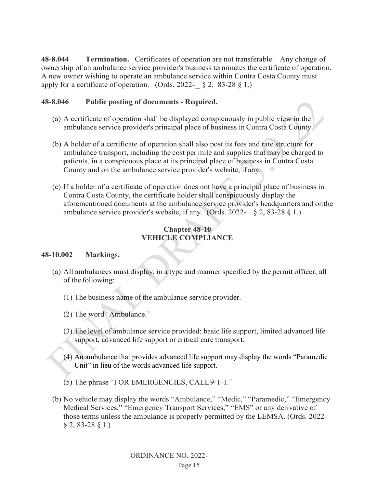**48-8.044 Termination.** Certificates of operation are not transferable. Any change of ownership of an ambulance service provider's business terminates the certificate of operation. A new owner wishing to operate an ambulance service within Contra Costa County must apply for a certificate of operation. (Ords. 2022-  $\S$  2, 83-28  $\S$  1.)

## **48-8.046 Public posting of documents - Required.**

- (a) A certificate of operation shall be displayed conspicuously in public view in the ambulance service provider's principal place of business in Contra Costa County.
- (b) A holder of a certificate of operation shall also post its fees and rate structure for ambulance transport, including the cost per mile and supplies that may be charged to patients, in a conspicuous place at its principal place of business in Contra Costa County and on the ambulance service provider's website, if any.
- (c) If a holder of a certificate of operation does not have a principal place of business in Contra Costa County, the certificate holder shall conspicuously display the aforementioned documents at the ambulance service provider's headquarters and onthe ambulance service provider's website, if any. (Ords. 2022- $\S$  2, 83-28 § 1.)

# **Chapter 48-10 VEHICLE COMPLIANCE**

## **48-10.002 Markings.**

- (a) All ambulances must display, in a type and manner specified by the permit officer, all of the following:
	- (1) The business name of the ambulance service provider.
	- (2) The word "Ambulance."
	- (3) The level of ambulance service provided: basic life support, limited advanced life support, advanced life support or critical care transport.
	- (4) An ambulance that provides advanced life support may display the words "Paramedic Unit" in lieu of the words advanced life support.
	- (5) The phrase "FOR EMERGENCIES, CALL9-1-1."
- (b) No vehicle may display the words "Ambulance," "Medic," "Paramedic," "Emergency Medical Services," "Emergency Transport Services," "EMS" or any derivative of those terms unless the ambulance is properly permitted by the LEMSA. (Ords. 2022- $§ 2, 83-28$   $§ 1.$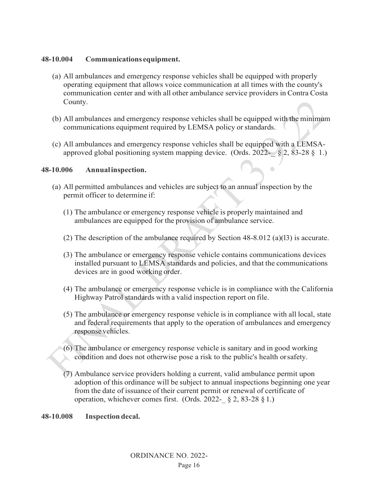### **48-10.004 Communications equipment.**

- (a) All ambulances and emergency response vehicles shall be equipped with properly operating equipment that allows voice communication at all times with the county's communication center and with all other ambulance service providers in Contra Costa County.
- (b) All ambulances and emergency response vehicles shall be equipped with the minimum communications equipment required by LEMSA policy or standards.
- (c) All ambulances and emergency response vehicles shall be equipped with a LEMSAapproved global positioning system mapping device. (Ords.  $2022 - 82$ ,  $83-288$ , 1.)

### **48-10.006 Annualinspection.**

- (a) All permitted ambulances and vehicles are subject to an annual inspection by the permit officer to determine if:
	- (1) The ambulance or emergency response vehicle is properly maintained and ambulances are equipped for the provision of ambulance service.
	- (2) The description of the ambulance required by Section 48-8.012 (a)(l3) is accurate.
	- (3) The ambulance or emergency response vehicle contains communications devices installed pursuant to LEMSA standards and policies, and that the communications devices are in good working order.
	- (4) The ambulance or emergency response vehicle is in compliance with the California Highway Patrol standards with a valid inspection report on file.
	- (5) The ambulance or emergency response vehicle is in compliance with all local, state and federal requirements that apply to the operation of ambulances and emergency response vehicles.
	- (6) The ambulance or emergency response vehicle is sanitary and in good working condition and does not otherwise pose a risk to the public's health orsafety.
	- (7) Ambulance service providers holding a current, valid ambulance permit upon adoption of this ordinance will be subject to annual inspections beginning one year from the date of issuance of their current permit or renewal of certificate of operation, whichever comes first. (Ords. 2022- $\S$  2, 83-28  $\S$  1.)

**48-10.008 Inspection decal.**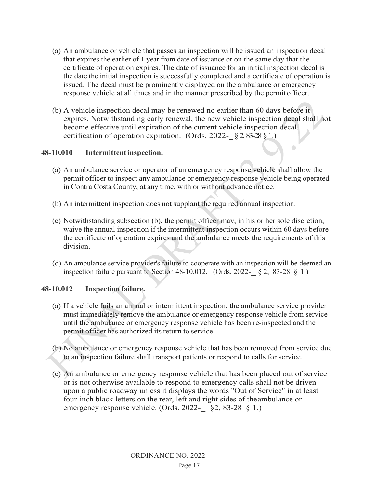- (a) An ambulance or vehicle that passes an inspection will be issued an inspection decal that expires the earlier of 1 year from date of issuance or on the same day that the certificate of operation expires. The date of issuance for an initial inspection decal is the date the initial inspection is successfully completed and a certificate of operation is issued. The decal must be prominently displayed on the ambulance or emergency response vehicle at all times and in the manner prescribed by the permitofficer.
- (b) A vehicle inspection decal may be renewed no earlier than 60 days before it expires. Notwithstanding early renewal, the new vehicle inspection decal shall not become effective until expiration of the current vehicle inspection decal. certification of operation expiration. (Ords. 2022- $\S 2, 83-28 \S 1.$ )

 $\begin{array}{ccc} \bullet & \bullet & \bullet \\ \bullet & \bullet & \bullet \end{array}$ 

## **48-10.010 Intermittentinspection.**

- (a) An ambulance service or operator of an emergency response vehicle shall allow the permit officer to inspect any ambulance or emergency response vehicle being operated in Contra Costa County, at any time, with or without advance notice.
- (b) An intermittent inspection does not supplant the required annual inspection.
- (c) Notwithstanding subsection (b), the permit officer may, in his or her sole discretion, waive the annual inspection if the intermittent inspection occurs within 60 days before the certificate of operation expires and the ambulance meets the requirements of this division.
- (d) An ambulance service provider's failure to cooperate with an inspection will be deemed an inspection failure pursuant to Section 48-10.012. (Ords. 2022- $\&$  8 2, 83-28  $\&$  1.)

## **48-10.012 Inspection failure.**

- (a) If a vehicle fails an annual or intermittent inspection, the ambulance service provider must immediately remove the ambulance or emergency response vehicle from service until the ambulance or emergency response vehicle has been re-inspected and the permit officer has authorized its return to service.
- (b) No ambulance or emergency response vehicle that has been removed from service due to an inspection failure shall transport patients or respond to calls for service.
- (c) An ambulance or emergency response vehicle that has been placed out of service or is not otherwise available to respond to emergency calls shall not be driven upon a public roadway unless it displays the words "Out of Service" in at least four-inch black letters on the rear, left and right sides of theambulance or emergency response vehicle. (Ords. 2022- §2, 83-28 § 1.)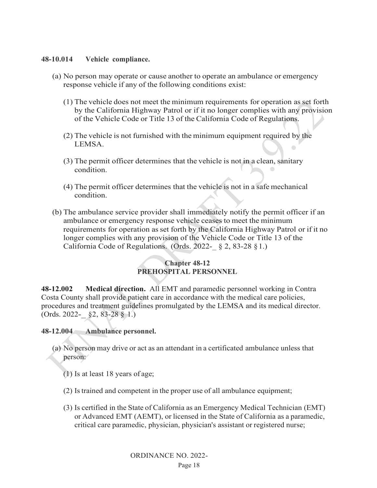### **48-10.014 Vehicle compliance.**

- (a) No person may operate or cause another to operate an ambulance or emergency response vehicle if any of the following conditions exist:
	- (1) The vehicle does not meet the minimum requirements for operation as set forth by the California Highway Patrol or if it no longer complies with any provision of the Vehicle Code or Title 13 of the California Code of Regulations.
	- (2) The vehicle is not furnished with the minimum equipment required by the LEMSA.  $\overline{\phantom{0}}$
	- (3) The permit officer determines that the vehicle is not in a clean, sanitary condition.
	- (4) The permit officer determines that the vehicle is not in a safe mechanical condition.
- (b) The ambulance service provider shall immediately notify the permit officer if an ambulance or emergency response vehicle ceases to meet the minimum requirements for operation as set forth by the California Highway Patrol or if it no longer complies with any provision of the Vehicle Code or Title 13 of the California Code of Regulations. (Ords. 2022-  $\S 2$ , 83-28  $\S 1$ .)

## **Chapter 48-12 PREHOSPITAL PERSONNEL**

**48-12.002 Medical direction.** All EMT and paramedic personnel working in Contra Costa County shall provide patient care in accordance with the medical care policies, procedures and treatment guidelines promulgated by the LEMSA and its medical director.  $(Ords. 2022 - \S2, 83-28 \S 1.)$ 

#### **48-12.004 Ambulance personnel.**

- (a) No person may drive or act as an attendant in a certificated ambulance unless that person:
	- (1) Is at least 18 years of age;
	- (2) Istrained and competent in the proper use of all ambulance equipment;
	- (3) Is certified in the State of California as an Emergency Medical Technician (EMT) or Advanced EMT (AEMT), or licensed in the State of California as a paramedic, critical care paramedic, physician, physician's assistant or registered nurse;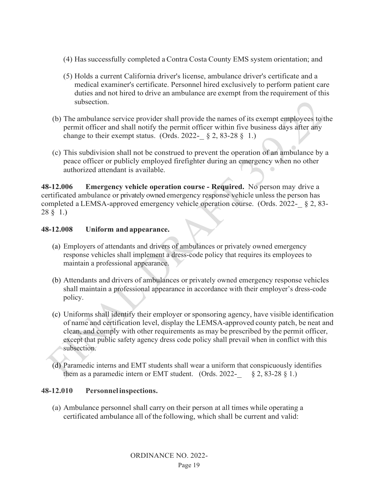- (4) Hassuccessfully completed aContra Costa County EMS system orientation; and
- (5) Holds a current California driver's license, ambulance driver's certificate and a medical examiner's certificate. Personnel hired exclusively to perform patient care duties and not hired to drive an ambulance are exempt from the requirement of this subsection.
- (b) The ambulance service provider shall provide the names of its exempt employees to the permit officer and shall notify the permit officer within five business days after any change to their exempt status. (Ords. 2022- $\S$  2, 83-28 § 1.)
- (c) This subdivision shall not be construed to prevent the operation of an ambulance by a peace officer or publicly employed firefighter during an emergency when no other authorized attendant is available.

**48-12.006 Emergency vehicle operation course - Required.** No person may drive a certificated ambulance or privately owned emergency response vehicle unless the person has completed a LEMSA-approved emergency vehicle operation course. (Ords. 2022-\_ § 2, 83- 28 § 1.)

# **48-12.008 Uniform and appearance.**

- (a) Employers of attendants and drivers of ambulances or privately owned emergency response vehicles shall implement a dress-code policy that requires its employees to maintain a professional appearance.
- (b) Attendants and drivers of ambulances or privately owned emergency response vehicles shall maintain a professional appearance in accordance with their employer's dress-code policy.
- (c) Uniforms shall identify their employer or sponsoring agency, have visible identification of name and certification level, display the LEMSA-approved county patch, be neat and clean, and comply with other requirements as may be prescribed by the permit officer, except that public safety agency dress code policy shall prevail when in conflict with this subsection.
- (d) Paramedic interns and EMT students shall wear a uniform that conspicuously identifies them as a paramedic intern or EMT student. (Ords.  $2022 - 82$ , 83-28 § 1.)

# **48-12.010 Personnelinspections.**

(a) Ambulance personnel shall carry on their person at all times while operating a certificated ambulance all of the following, which shall be current and valid: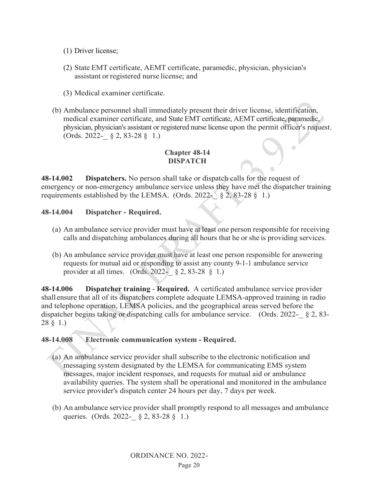- (1) Driver license;
- (2) State EMT certificate, AEMT certificate, paramedic, physician, physician's assistant or registered nurse license; and
- (3) Medical examiner certificate.
- (b) Ambulance personnel shall immediately present their driver license, identification, medical examiner certificate, and State EMT certificate, AEMT certificate, paramedic, physician, physician's assistant or registered nurse license upon the permit officer's request. (Ords. 2022-\_ § 2, 83-28 § 1.)

## **Chapter 48-14 DISPATCH**

**48-14.002 Dispatchers.** No person shall take or dispatch calls for the request of emergency or non-emergency ambulance service unless they have met the dispatcher training requirements established by the LEMSA. (Ords. 2022- $\S$  2, 83-28 § 1.)

## **48-14.004 Dispatcher - Required.**

- (a) An ambulance service provider must have at least one person responsible for receiving calls and dispatching ambulances during all hours that he or she is providing services.
- (b) An ambulance service provider must have at least one person responsible for answering requests for mutual aid or responding to assist any county 9-1-1 ambulance service provider at all times. (Ords.  $2022 - 82, 83-28, 81$ .)

**48-14.006 Dispatcher training** - **Required.** A certificated ambulance service provider shall ensure that all of its dispatchers complete adequate LEMSA-approved training in radio and telephone operation, LEMSA policies, and the geographical areas served before the dispatcher begins taking or dispatching calls for ambulance service. (Ords. 2022- $\&$  2, 83-28 § 1.)

## **48-14.008 Electronic communication system - Required.**

- (a) An ambulance service provider shall subscribe to the electronic notification and messaging system designated by the LEMSA for communicating EMS system messages, major incident responses, and requests for mutual aid or ambulance availability queries. The system shall be operational and monitored in the ambulance service provider's dispatch center 24 hours per day, 7 days per week.
- (b) An ambulance service provider shall promptly respond to all messages and ambulance queries. (Ords. 2022-\_ § 2, 83-28 § 1.)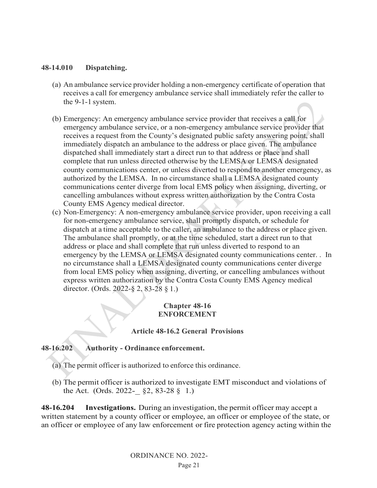### **48-14.010 Dispatching.**

- (a) An ambulance service provider holding a non-emergency certificate of operation that receives a call for emergency ambulance service shall immediately refer the caller to the 9-1-1 system.
- (b) Emergency: An emergency ambulance service provider that receives a call for emergency ambulance service, or a non-emergency ambulance service provider that receives a request from the County's designated public safety answering point, shall immediately dispatch an ambulance to the address or place given. The ambulance dispatched shall immediately start a direct run to that address or place and shall complete that run unless directed otherwise by the LEMSA or LEMSA designated county communications center, or unless diverted to respond to another emergency, as authorized by the LEMSA. In no circumstance shall a LEMSA designated county communications center diverge from local EMS policy when assigning, diverting, or cancelling ambulances without express written authorization by the Contra Costa County EMS Agency medical director.
- (c) Non-Emergency: A non-emergency ambulance service provider, upon receiving a call for non-emergency ambulance service, shall promptly dispatch, or schedule for dispatch at a time acceptable to the caller, an ambulance to the address or place given. The ambulance shall promptly, or at the time scheduled, start a direct run to that address or place and shall complete that run unless diverted to respond to an emergency by the LEMSA or LEMSA designated county communications center. . In no circumstance shall a LEMSA designated county communications center diverge from local EMS policy when assigning, diverting, or cancelling ambulances without express written authorization by the Contra Costa County EMS Agency medical director. (Ords. 2022-§ 2, 83-28 § 1.)

### **Chapter 48-16 ENFORCEMENT**

#### **Article 48-16.2 General Provisions**

## **48-16.202 Authority - Ordinance enforcement.**

- (a) The permit officer is authorized to enforce this ordinance.
- (b) The permit officer is authorized to investigate EMT misconduct and violations of the Act. (Ords. 2022- $\S$ 2, 83-28  $\S$  1.)

**48-16.204 Investigations.** During an investigation, the permit officer may accept a written statement by a county officer or employee, an officer or employee of the state, or an officer or employee of any law enforcement or fire protection agency acting within the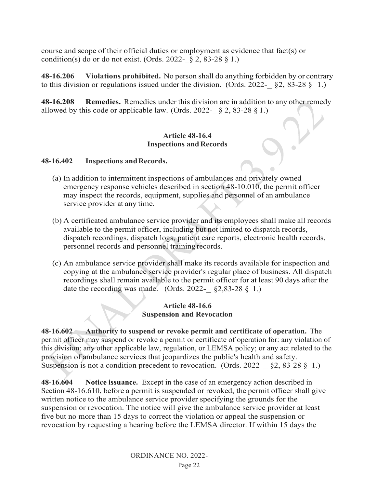course and scope of their official duties or employment as evidence that fact(s) or condition(s) do or do not exist. (Ords. 2022-  $\S$  2, 83-28  $\S$  1.)

**48-16.206 Violations prohibited.** No person shall do anything forbidden by or contrary to this division or regulations issued under the division. (Ords.  $2022 - \S 2$ , 83-28  $\S 1$ .)

**48-16.208 Remedies.** Remedies under this division are in addition to any other remedy allowed by this code or applicable law. (Ords. 2022-  $\S$  2, 83-28  $\S$  1.)

#### **Article 48-16.4 Inspections and Records**

#### **48-16.402 Inspections andRecords.**

- (a) In addition to intermittent inspections of ambulances and privately owned emergency response vehicles described in section 48-10.010, the permit officer may inspect the records, equipment, supplies and personnel of an ambulance service provider at any time.
- (b) A certificated ambulance service provider and its employees shall make all records available to the permit officer, including but not limited to dispatch records, dispatch recordings, dispatch logs, patient care reports, electronic health records, personnel records and personnel training records.
- (c) An ambulance service provider shall make its records available for inspection and copying at the ambulance service provider's regular place of business. All dispatch recordings shall remain available to the permit officer for at least 90 days after the date the recording was made. (Ords.  $2022 - \frac{62}{82}3 - 28 \frac{8}{9} 1.$ )

#### **Article 48-16.6 Suspension and Revocation**

**48-16.602 Authority to suspend or revoke permit and certificate of operation.** The permit officer may suspend or revoke a permit or certificate of operation for: any violation of this division; any other applicable law, regulation, or LEMSA policy; or any act related to the provision of ambulance services that jeopardizes the public's health and safety. Suspension is not a condition precedent to revocation. (Ords. 2022- $\S$ 2, 83-28 § 1.)

**48-16.604 Notice issuance.** Except in the case of an emergency action described in Section 48-16.610, before a permit is suspended or revoked, the permit officer shall give written notice to the ambulance service provider specifying the grounds for the suspension or revocation. The notice will give the ambulance service provider at least five but no more than 15 days to correct the violation or appeal the suspension or revocation by requesting a hearing before the LEMSA director. If within 15 days the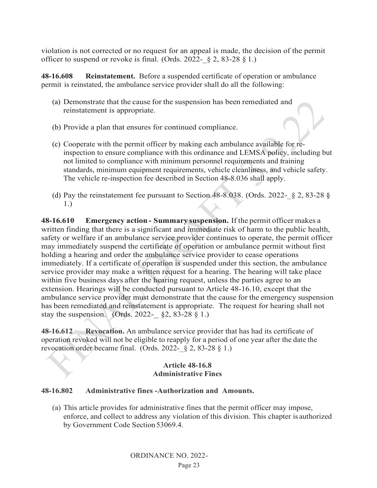violation is not corrected or no request for an appeal is made, the decision of the permit officer to suspend or revoke is final. (Ords. 2022-  $\S$  2, 83-28  $\S$  1.)

**48-16.608 Reinstatement.** Before a suspended certificate of operation or ambulance permit is reinstated, the ambulance service provider shall do all the following:

- (a) Demonstrate that the cause for the suspension has been remediated and reinstatement is appropriate.
- (b) Provide a plan that ensures for continued compliance.
- (c) Cooperate with the permit officer by making each ambulance available for reinspection to ensure compliance with this ordinance and LEMSA policy, including but not limited to compliance with minimum personnel requirements and training standards, minimum equipment requirements, vehicle cleanliness, and vehicle safety. The vehicle re-inspection fee described in Section 48-8.036 shall apply.
- (d) Pay the reinstatement fee pursuant to Section 48-8.038. (Ords. 2022-  $\S$  2, 83-28  $\S$ ) 1.)

**48-16.610 Emergency action - Summary suspension.** If the permit officer makes a written finding that there is a significant and immediate risk of harm to the public health, safety or welfare if an ambulance service provider continues to operate, the permit officer may immediately suspend the certificate of operation or ambulance permit without first holding a hearing and order the ambulance service provider to cease operations immediately. If a certificate of operation is suspended under this section, the ambulance service provider may make a written request for a hearing. The hearing will take place within five business days after the hearing request, unless the parties agree to an extension. Hearings will be conducted pursuant to Article 48-16.10, except that the ambulance service provider must demonstrate that the cause for the emergency suspension has been remediated and reinstatement is appropriate. The request for hearing shall not stay the suspension. (Ords. 2022-  $\S 2, 83-28 \S 1.$ )

**48-16.612 Revocation.** An ambulance service provider that has had its certificate of operation revoked will not be eligible to reapply for a period of one year after the date the revocation order became final. (Ords. 2022-  $\S$  2, 83-28  $\S$  1.)

## **Article 48-16.8 Administrative Fines**

## **48-16.802 Administrative fines -Authorization and Amounts.**

(a) This article provides for administrative fines that the permit officer may impose, enforce, and collect to address any violation of this division. This chapter is authorized by Government Code Section 53069.4.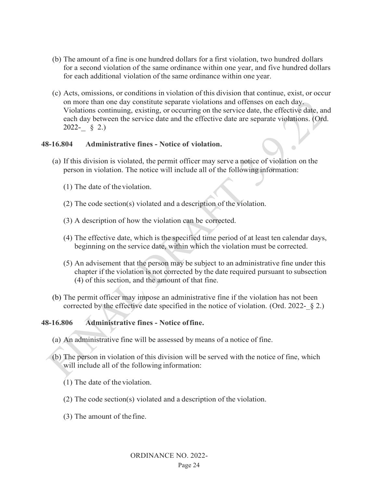- (b) The amount of a fine is one hundred dollars for a first violation, two hundred dollars for a second violation of the same ordinance within one year, and five hundred dollars for each additional violation of the same ordinance within one year.
- (c) Acts, omissions, or conditions in violation of this division that continue, exist, or occur on more than one day constitute separate violations and offenses on each day. Violations continuing, existing, or occurring on the service date, the effective date, and each day between the service date and the effective date are separate violations. (Ord. 2022-  $\S$  2.)

#### **48-16.804 Administrative fines - Notice of violation.**

- (a) If this division is violated, the permit officer may serve a notice of violation on the person in violation. The notice will include all of the following information:
	- (1) The date of theviolation.
	- (2) The code section(s) violated and a description of the violation.
	- (3) A description of how the violation can be corrected.
	- (4) The effective date, which is the specified time period of at least ten calendar days, beginning on the service date, within which the violation must be corrected.
	- (5) An advisement that the person may be subject to an administrative fine under this chapter if the violation is not corrected by the date required pursuant to subsection (4) of this section, and the amount of that fine.
- (b) The permit officer may impose an administrative fine if the violation has not been corrected by the effective date specified in the notice of violation. (Ord. 2022- $\S$  2.)

## **48-16.806 Administrative fines - Notice offine.**

- (a) An administrative fine will be assessed by means of a notice of fine.
- (b) The person in violation of this division will be served with the notice of fine, which will include all of the following information:
	- (1) The date of the violation.
	- (2) The code section(s) violated and a description of the violation.
	- (3) The amount of the fine.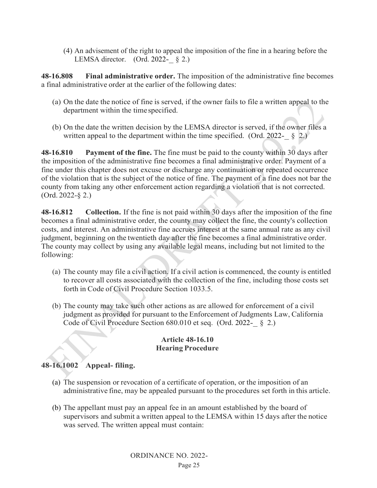(4) An advisement of the right to appeal the imposition of the fine in a hearing before the LEMSA director. (Ord. 2022- $\S$  2.)

**48-16.808 Final administrative order.** The imposition of the administrative fine becomes a final administrative order at the earlier of the following dates:

- (a) On the date the notice of fine is served, if the owner fails to file a written appeal to the department within the timespecified.
- (b) On the date the written decision by the LEMSA director is served, if the owner files a written appeal to the department within the time specified. (Ord. 2022- $\&$  2.)

**48-16.810 Payment of the fine.** The fine must be paid to the county within 30 days after the imposition of the administrative fine becomes a final administrative order. Payment of a fine under this chapter does not excuse or discharge any continuation or repeated occurrence of the violation that is the subject of the notice of fine. The payment of a fine does not bar the county from taking any other enforcement action regarding a violation that is not corrected. (Ord. 2022-§ 2.)

**48-16.812 Collection.** If the fine is not paid within 30 days after the imposition of the fine becomes a final administrative order, the county may collect the fine, the county's collection costs, and interest. An administrative fine accrues interest at the same annual rate as any civil judgment, beginning on the twentieth day after the fine becomes a final administrative order. The county may collect by using any available legal means, including but not limited to the following:

- (a) The county may file a civil action. If a civil action is commenced, the county is entitled to recover all costs associated with the collection of the fine, including those costs set forth in Code of Civil Procedure Section 1033.5.
- (b) The county may take such other actions as are allowed for enforcement of a civil judgment as provided for pursuant to the Enforcement of Judgments Law, California Code of Civil Procedure Section 680.010 et seq. (Ord. 2022- § 2.)

## **Article 48-16.10 Hearing Procedure**

# **48-16.1002 Appeal- filing.**

- (a) The suspension or revocation of a certificate of operation, or the imposition of an administrative fine, may be appealed pursuant to the procedures set forth in this article.
- (b) The appellant must pay an appeal fee in an amount established by the board of supervisors and submit a written appeal to the LEMSA within 15 days after the notice was served. The written appeal must contain: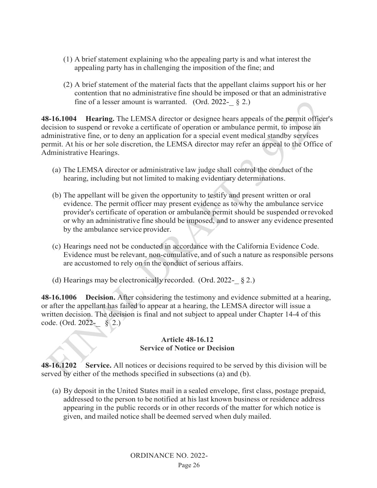- (1) A brief statement explaining who the appealing party is and what interest the appealing party has in challenging the imposition of the fine; and
- (2) A brief statement of the material facts that the appellant claims support his or her contention that no administrative fine should be imposed or that an administrative fine of a lesser amount is warranted. (Ord. 2022- $\S$  2.)

**48-16.1004 Hearing.** The LEMSA director or designee hears appeals of the permit officer's decision to suspend or revoke a certificate of operation or ambulance permit, to impose an administrative fine, or to deny an application for a special event medical standby services permit. At his or her sole discretion, the LEMSA director may refer an appeal to the Office of Administrative Hearings.

- (a) The LEMSA director or administrative law judge shall control the conduct of the hearing, including but not limited to making evidentiary determinations.
- (b) The appellant will be given the opportunity to testify and present written or oral evidence. The permit officer may present evidence as to why the ambulance service provider's certificate of operation or ambulance permit should be suspended orrevoked or why an administrative fine should be imposed, and to answer any evidence presented by the ambulance service provider.
- (c) Hearings need not be conducted in accordance with the California Evidence Code. Evidence must be relevant, non-cumulative, and of such a nature as responsible persons are accustomed to rely on in the conduct of serious affairs.
- (d) Hearings may be electronically recorded. (Ord. 2022- $\S$  2.)

**48-16.1006 Decision.** After considering the testimony and evidence submitted at a hearing, or after the appellant has failed to appear at a hearing, the LEMSA director will issue a written decision. The decision is final and not subject to appeal under Chapter 14-4 of this code. (Ord. 2022-\_ § 2.)

#### **Article 48-16.12 Service of Notice or Decision**

**48-16.1202 Service.** All notices or decisions required to be served by this division will be served by either of the methods specified in subsections (a) and (b).

(a) By deposit in the United States mail in a sealed envelope, first class, postage prepaid, addressed to the person to be notified at his last known business or residence address appearing in the public records or in other records of the matter for which notice is given, and mailed notice shall be deemed served when duly mailed.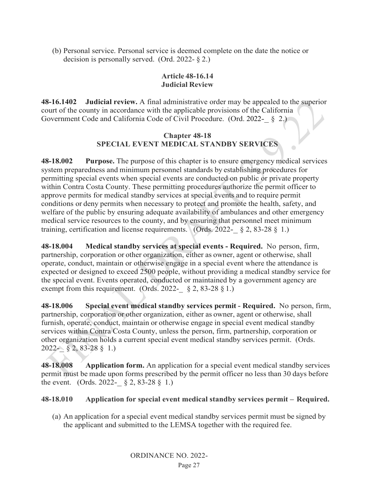(b) Personal service. Personal service is deemed complete on the date the notice or decision is personally served. (Ord. 2022-  $\S$  2.)

## **Article 48-16.14 Judicial Review**

**48-16.1402 Judicial review.** A final administrative order may be appealed to the superior court of the county in accordance with the applicable provisions of the California Government Code and California Code of Civil Procedure. (Ord. 2022- § 2.)

# **Chapter 48-18 SPECIAL EVENT MEDICAL STANDBY SERVICES**

**48-18.002 Purpose.** The purpose of this chapter is to ensure emergency medical services system preparedness and minimum personnel standards by establishing procedures for permitting special events when special events are conducted on public or private property within Contra Costa County. These permitting procedures authorize the permit officer to approve permits for medical standby services at special events and to require permit conditions or deny permits when necessary to protect and promote the health, safety, and welfare of the public by ensuring adequate availability of ambulances and other emergency medical service resources to the county, and by ensuring that personnel meet minimum training, certification and license requirements. (Ords. 2022- § 2, 83-28 § 1.)

**48-18.004 Medical standby services at special events - Required.** No person, firm, partnership, corporation or other organization, either as owner, agent or otherwise, shall operate, conduct, maintain or otherwise engage in a special event where the attendance is expected or designed to exceed 2500 people, without providing a medical standby service for the special event. Events operated, conducted or maintained by a government agency are exempt from this requirement. (Ords. 2022- $\S$  2, 83-28  $\S$  1.)

**48-18.006 Special event medical standby services permit - Required.** No person, firm, partnership, corporation or other organization, either as owner, agent or otherwise, shall furnish, operate, conduct, maintain or otherwise engage in special event medical standby services within Contra Costa County, unless the person, firm, partnership, corporation or other organization holds a current special event medical standby services permit. (Ords. 2022-\_ § 2, 83-28 § 1.)

**48-18.008 Application form.** An application for a special event medical standby services permit must be made upon forms prescribed by the permit officer no less than 30 days before the event. (Ords. 2022- $\S 2$ , 83-28 § 1.)

## **48-18.010 Application for special event medical standby services permit – Required.**

(a) An application for a special event medical standby services permit must be signed by the applicant and submitted to the LEMSA together with the required fee.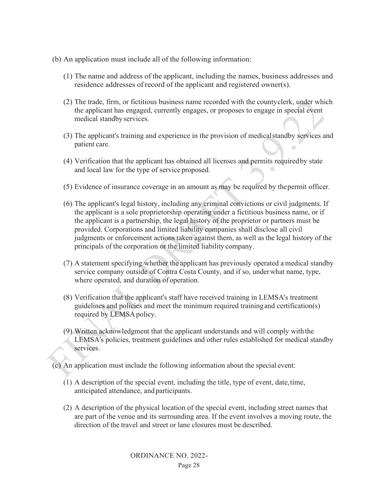- (b) An application must include all of the following information:
	- (1) The name and address of the applicant, including the names, business addresses and residence addresses of record of the applicant and registered owner(s).
	- (2) The trade, firm, or fictitious business name recorded with the countyclerk, under which the applicant has engaged, currently engages, or proposes to engage in special event medical standby services.
	- (3) The applicant's training and experience in the provision of medicalstandby services and patient care.
	- (4) Verification that the applicant has obtained all licenses and permits requiredby state and local law for the type of service proposed.
	- (5) Evidence of insurance coverage in an amount as may be required by thepermit officer.
	- (6) The applicant's legal history, including any criminal convictions or civil judgments. If the applicant is a sole proprietorship operating under a fictitious business name, or if the applicant is a partnership, the legal history of the proprietor or partners must be provided. Corporations and limited liability companies shall disclose all civil judgments or enforcement actions taken against them, as well as the legal history of the principals of the corporation or the limited liability company.
	- (7) A statement specifying whether the applicant has previously operated a medical standby service company outside of Contra Costa County, and if so, underwhat name, type, where operated, and duration of operation.
	- (8) Verification that the applicant's staff have received training in LEMSA's treatment guidelines and policies and meet the minimum required trainingand certification(s) required by LEMSApolicy.
	- (9) Written acknowledgment that the applicant understands and will comply with the LEMSA's policies, treatment guidelines and other rules established for medical standby services.

(c) An application must include the following information about the special event:

- (1) A description of the special event, including the title, type of event, date,time, anticipated attendance, and participants.
- (2) A description of the physical location of the special event, including street names that are part of the venue and its surrounding area. If the event involves a moving route, the direction of the travel and street or lane closures must be described.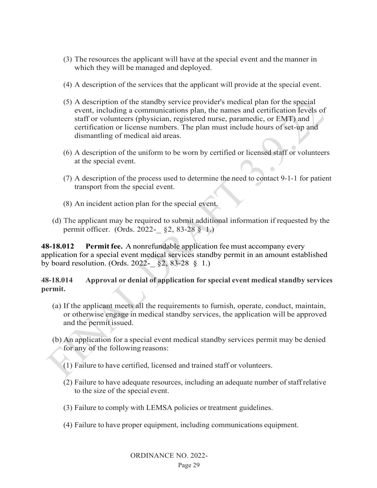- (3) The resources the applicant will have at the special event and the manner in which they will be managed and deployed.
- (4) A description of the services that the applicant will provide at the special event.
- (5) A description of the standby service provider's medical plan for the special event, including a communications plan, the names and certification levels of staff or volunteers (physician, registered nurse, paramedic, or EMT) and certification or license numbers. The plan must include hours of set-up and dismantling of medical aid areas.
- (6) A description of the uniform to be worn by certified or licensed staff or volunteers at the special event.
- (7) A description of the process used to determine the need to contact 9-1-1 for patient transport from the special event.
- (8) An incident action plan for the special event.
- (d) The applicant may be required to submit additional information if requested by the permit officer. (Ords. 2022- §2, 83-28 § 1.)

**48-18.012 Permit fee.** A nonrefundable application fee must accompany every application for a special event medical services standby permit in an amount established by board resolution. (Ords. 2022- $\S$ 2, 83-28 § 1.)

**48-18.014 Approval or denial of application for special event medical standby services permit.**

- (a) If the applicant meets all the requirements to furnish, operate, conduct, maintain, or otherwise engage in medical standby services, the application will be approved and the permit issued.
- (b) An application for a special event medical standby services permit may be denied for any of the following reasons:
	- (1) Failure to have certified, licensed and trained staff or volunteers.
	- (2) Failure to have adequate resources, including an adequate number of staffrelative to the size of the special event.
	- (3) Failure to comply with LEMSA policies or treatment guidelines.
	- (4) Failure to have proper equipment, including communications equipment.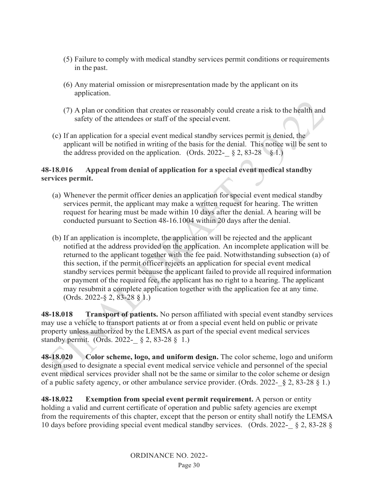- (5) Failure to comply with medical standby services permit conditions or requirements in the past.
- (6) Any material omission or misrepresentation made by the applicant on its application.
- (7) A plan or condition that creates or reasonably could create a risk to the health and safety of the attendees or staff of the special event.
- (c) If an application for a special event medical standby services permit is denied, the applicant will be notified in writing of the basis for the denial. This notice will be sent to the address provided on the application. (Ords. 2022- § 2, 83-28 § 1.)

# **48-18.016 Appeal from denial of application for a special event medical standby services permit.**

- (a) Whenever the permit officer denies an application for special event medical standby services permit, the applicant may make a written request for hearing. The written request for hearing must be made within 10 days after the denial. A hearing will be conducted pursuant to Section 48-16.1004 within 20 days after the denial.
- (b) If an application is incomplete, the application will be rejected and the applicant notified at the address provided on the application. An incomplete application will be. returned to the applicant together with the fee paid. Notwithstanding subsection (a) of this section, if the permit officer rejects an application for special event medical standby services permit because the applicant failed to provide all required information or payment of the required fee, the applicant has no right to a hearing. The applicant may resubmit a complete application together with the application fee at any time. (Ords. 2022-§ 2, 83-28 § 1.)

**48-18.018 Transport of patients.** No person affiliated with special event standby services may use a vehicle to transport patients at or from a special event held on public or private property unless authorized by the LEMSA as part of the special event medical services standby permit. (Ords. 2022-  $\S 2$ , 83-28  $\S 1$ .)

**48-18.020 Color scheme, logo, and uniform design.** The color scheme, logo and uniform design used to designate a special event medical service vehicle and personnel of the special event medical services provider shall not be the same or similar to the color scheme or design of a public safety agency, or other ambulance service provider. (Ords. 2022-  $\S 2$ , 83-28  $\S 1$ .)

**48-18.022 Exemption from special event permit requirement.** A person or entity holding a valid and current certificate of operation and public safety agencies are exempt from the requirements of this chapter, except that the person or entity shall notify the LEMSA 10 days before providing special event medical standby services. (Ords. 2022-\_ § 2, 83-28 §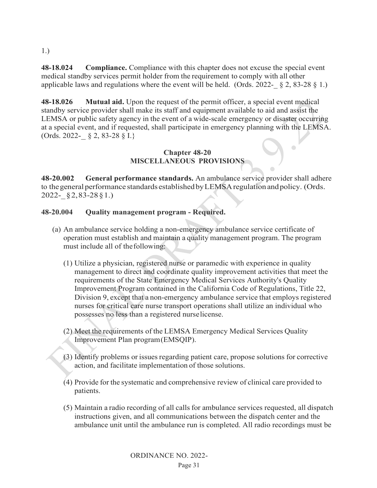1.)

**48-18.024 Compliance.** Compliance with this chapter does not excuse the special event medical standby services permit holder from the requirement to comply with all other applicable laws and regulations where the event will be held. (Ords. 2022-  $\S$  2, 83-28  $\S$  1.)

**48-18.026 Mutual aid.** Upon the request of the permit officer, a special event medical standby service provider shall make its staff and equipment available to aid and assist the LEMSA or public safety agency in the event of a wide-scale emergency or disaster occurring at a special event, and if requested, shall participate in emergency planning with the LEMSA. (Ords. 2022-\_ § 2, 83-28 § I.}

# **Chapter 48-20 MISCELLANEOUS PROVISIONS**

**48-20.002 General performance standards.** An ambulance service provider shall adhere to thegeneral performance standards establishedbyLEMSAregulation andpolicy. (Ords. 2022-\_§2,83-28§1.)

# **48-20.004 Quality management program - Required.**

- (a) An ambulance service holding a non-emergency ambulance service certificate of operation must establish and maintain a quality management program. The program must include all of thefollowing:
	- (1) Utilize a physician, registered nurse or paramedic with experience in quality management to direct and coordinate quality improvement activities that meet the requirements of the State Emergency Medical Services Authority's Quality Improvement Program contained in the California Code of Regulations, Title 22, Division 9, except that a non-emergency ambulance service that employs registered nurses for critical care nurse transport operations shall utilize an individual who possesses no less than a registered nurselicense.
	- (2) Meet the requirements of the LEMSA Emergency Medical Services Quality Improvement Plan program(EMSQIP).
	- (3) Identify problems or issuesregarding patient care, propose solutions for corrective action, and facilitate implementation of those solutions.
	- (4) Provide for the systematic and comprehensive review of clinical care provided to patients.
	- (5) Maintain a radio recording of all calls for ambulance services requested, all dispatch instructions given, and all communications between the dispatch center and the ambulance unit until the ambulance run is completed. All radio recordings must be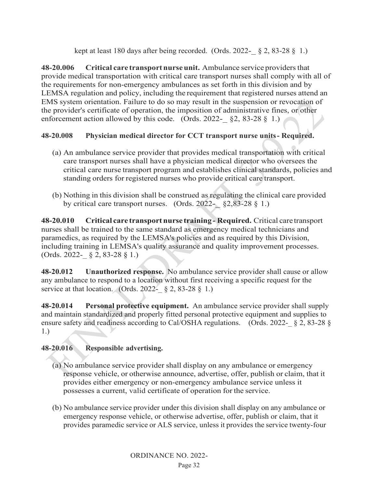kept at least 180 days after being recorded. (Ords. 2022- $\S 2$ , 83-28 § 1.)

**48-20.006 Critical care transportnurseunit.** Ambulance service providersthat provide medical transportation with critical care transport nurses shall comply with all of the requirements for non-emergency ambulances as set forth in this division and by LEMSA regulation and policy, including the requirement that registered nurses attend an EMS system orientation. Failure to do so may result in the suspension or revocation of the provider's certificate of operation, the imposition of administrative fines, or other enforcement action allowed by this code. (Ords. 2022- $\S$  \$2, 83-28 \$1.)

# **48-20.008 Physician medical director for CCT transport nurse units- Required.**

- (a) An ambulance service provider that provides medical transportation with critical care transport nurses shall have a physician medical director who oversees the critical care nurse transport program and establishes clinical standards, policies and standing orders for registered nurses who provide critical care transport.
- (b) Nothing in this division shall be construed as regulating the clinical care provided by critical care transport nurses. (Ords.  $2022 - \frac{62}{82}33 - 28 \frac{1}{9}1$ .)

**48-20.010 Critical care transport nurse training- Required.** Critical care transport nurses shall be trained to the same standard as emergency medical technicians and paramedics, as required by the LEMSA's policies and as required by this Division, including training in LEMSA's quality assurance and quality improvement processes.  $(Ords. 2022 - \& 2, 83-28 \& 1.)$ 

**48-20.012 Unauthorized response.** No ambulance service provider shall cause or allow any ambulance to respond to a location without first receiving a specific request for the service at that location. (Ords. 2022- $\&$  2, 83-28  $\&$  1.)

**48-20.014 Personal protective equipment.** An ambulance service provider shall supply and maintain standardized and properly fitted personal protective equipment and supplies to ensure safety and readiness according to Cal/OSHA regulations. (Ords. 2022- § 2, 83-28 § 1.)

# **48-20.016 Responsible advertising.**

- (a) No ambulance service provider shall display on any ambulance or emergency response vehicle, or otherwise announce, advertise, offer, publish or claim, that it provides either emergency or non-emergency ambulance service unless it possesses a current, valid certificate of operation for the service.
- (b) No ambulance service provider under this division shall display on any ambulance or emergency response vehicle, or otherwise advertise, offer, publish or claim, that it provides paramedic service or ALS service, unless it provides the service twenty-four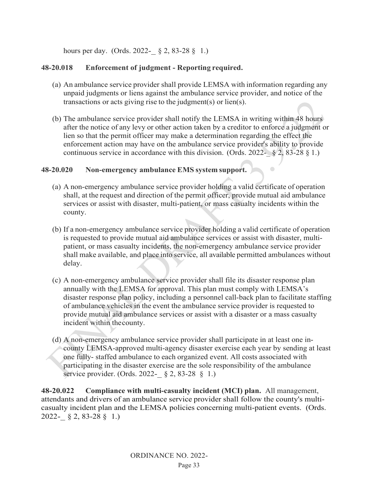hours per day. (Ords. 2022- § 2, 83-28 § 1.)

## **48-20.018 Enforcement of judgment - Reporting required.**

- (a) An ambulance service provider shall provide LEMSA with information regarding any unpaid judgments or liens against the ambulance service provider, and notice of the transactions or acts giving rise to the judgment(s) or lien(s).
- (b) The ambulance service provider shall notify the LEMSA in writing within 48 hours after the notice of any levy or other action taken by a creditor to enforce a judgment or lien so that the permit officer may make a determination regarding the effect the enforcement action may have on the ambulance service provider's ability to provide continuous service in accordance with this division. (Ords. 2022-  $\S 2$ , 83-28  $\S 1$ .)

 $\sqrt{2}$ 

## **48-20.020 Non-emergency ambulance EMS system support.**

- (a) A non-emergency ambulance service provider holding a valid certificate of operation shall, at the request and direction of the permit officer, provide mutual aid ambulance services or assist with disaster, multi-patient, or mass casualty incidents within the county.
- (b) If a non-emergency ambulance service provider holding a valid certificate of operation is requested to provide mutual aid ambulance services or assist with disaster, multipatient, or mass casualty incidents, the non-emergency ambulance service provider shall make available, and place into service, all available permitted ambulances without delay.
- (c) A non-emergency ambulance service provider shall file its disaster response plan annually with the LEMSA for approval. This plan must comply with LEMSA's disaster response plan policy, including a personnel call-back plan to facilitate staffing of ambulance vehicles in the event the ambulance service provider is requested to provide mutual aid ambulance services or assist with a disaster or a mass casualty incident within thecounty.
- (d) A non-emergency ambulance service provider shall participate in at least one incounty LEMSA-approved multi-agency disaster exercise each year by sending at least one fully- staffed ambulance to each organized event. All costs associated with participating in the disaster exercise are the sole responsibility of the ambulance service provider. (Ords. 2022- § 2, 83-28 § 1.)

**48-20.022 Compliance with multi-casualty incident (MCI) plan.** All management, attendants and drivers of an ambulance service provider shall follow the county's multicasualty incident plan and the LEMSA policies concerning multi-patient events. (Ords. 2022-\_ § 2, 83-28 § 1.)